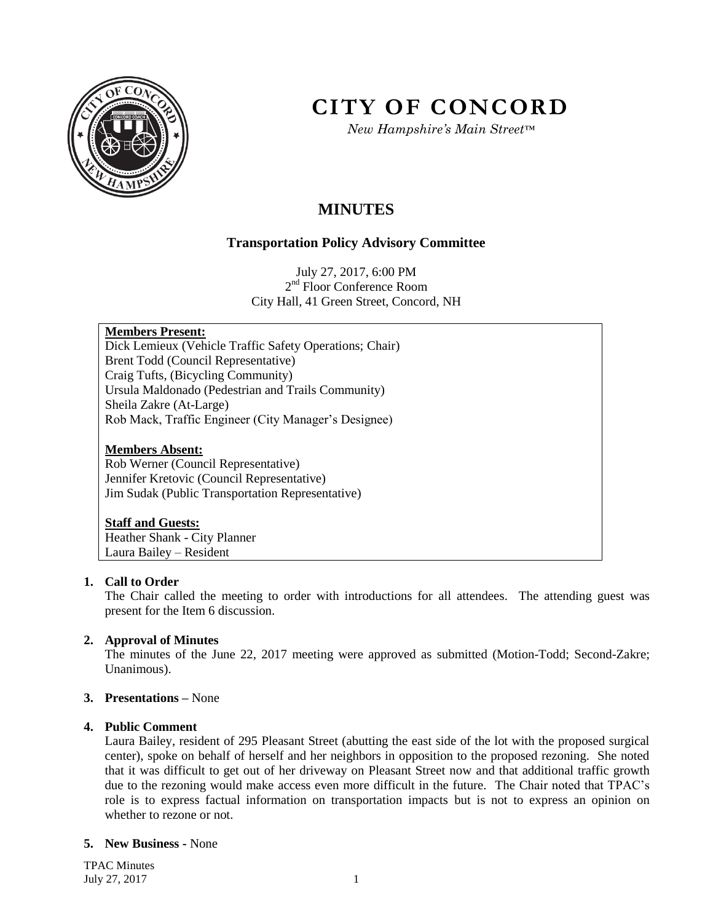

# **CITY OF CONCORD**

*New Hampshire's Main Street™*

## **MINUTES**

### **Transportation Policy Advisory Committee**

July 27, 2017, 6:00 PM 2<sup>nd</sup> Floor Conference Room City Hall, 41 Green Street, Concord, NH

#### **Members Present:**

Dick Lemieux (Vehicle Traffic Safety Operations; Chair) Brent Todd (Council Representative) Craig Tufts, (Bicycling Community) Ursula Maldonado (Pedestrian and Trails Community) Sheila Zakre (At-Large) Rob Mack, Traffic Engineer (City Manager's Designee)

#### **Members Absent:**

Rob Werner (Council Representative) Jennifer Kretovic (Council Representative) Jim Sudak (Public Transportation Representative)

#### **Staff and Guests:**

Heather Shank - City Planner Laura Bailey – Resident

#### **1. Call to Order**

The Chair called the meeting to order with introductions for all attendees. The attending guest was present for the Item 6 discussion.

#### **2. Approval of Minutes**

The minutes of the June 22, 2017 meeting were approved as submitted (Motion-Todd; Second-Zakre; Unanimous).

#### **3. Presentations –** None

#### **4. Public Comment**

Laura Bailey, resident of 295 Pleasant Street (abutting the east side of the lot with the proposed surgical center), spoke on behalf of herself and her neighbors in opposition to the proposed rezoning. She noted that it was difficult to get out of her driveway on Pleasant Street now and that additional traffic growth due to the rezoning would make access even more difficult in the future. The Chair noted that TPAC's role is to express factual information on transportation impacts but is not to express an opinion on whether to rezone or not.

#### **5. New Business -** None

TPAC Minutes July 27, 2017 1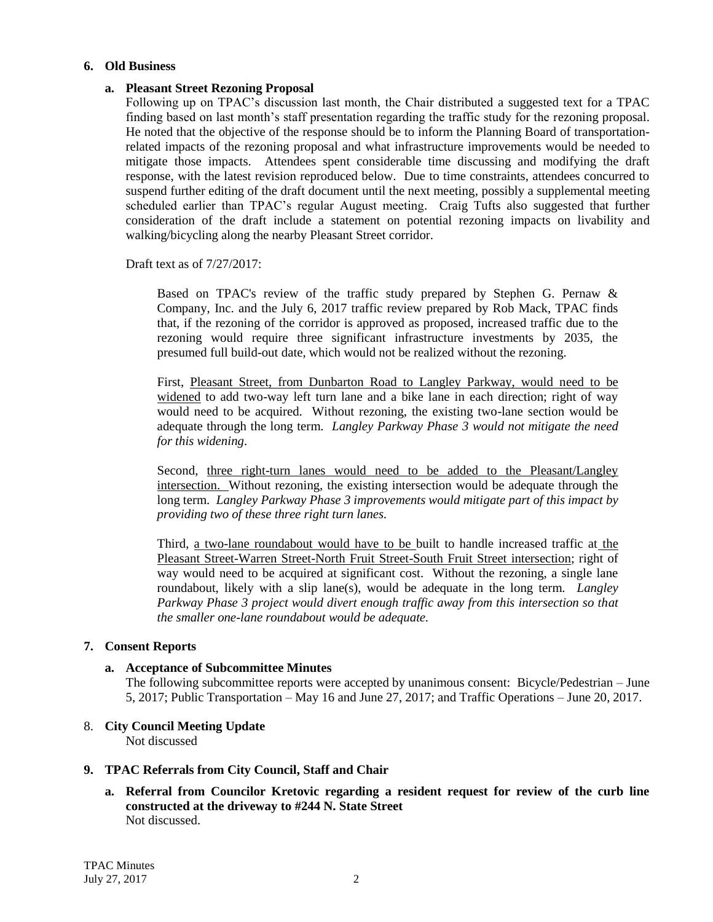#### **6. Old Business**

#### **a. Pleasant Street Rezoning Proposal**

Following up on TPAC's discussion last month, the Chair distributed a suggested text for a TPAC finding based on last month's staff presentation regarding the traffic study for the rezoning proposal. He noted that the objective of the response should be to inform the Planning Board of transportationrelated impacts of the rezoning proposal and what infrastructure improvements would be needed to mitigate those impacts. Attendees spent considerable time discussing and modifying the draft response, with the latest revision reproduced below. Due to time constraints, attendees concurred to suspend further editing of the draft document until the next meeting, possibly a supplemental meeting scheduled earlier than TPAC's regular August meeting. Craig Tufts also suggested that further consideration of the draft include a statement on potential rezoning impacts on livability and walking/bicycling along the nearby Pleasant Street corridor.

Draft text as of 7/27/2017:

Based on TPAC's review of the traffic study prepared by Stephen G. Pernaw & Company, Inc. and the July 6, 2017 traffic review prepared by Rob Mack, TPAC finds that, if the rezoning of the corridor is approved as proposed, increased traffic due to the rezoning would require three significant infrastructure investments by 2035, the presumed full build-out date, which would not be realized without the rezoning.

First, Pleasant Street, from Dunbarton Road to Langley Parkway, would need to be widened to add two-way left turn lane and a bike lane in each direction; right of way would need to be acquired. Without rezoning, the existing two-lane section would be adequate through the long term. *Langley Parkway Phase 3 would not mitigate the need for this widening*.

Second, three right-turn lanes would need to be added to the Pleasant/Langley intersection. Without rezoning, the existing intersection would be adequate through the long term. *Langley Parkway Phase 3 improvements would mitigate part of this impact by providing two of these three right turn lanes.*

Third, a two-lane roundabout would have to be built to handle increased traffic at the Pleasant Street-Warren Street-North Fruit Street-South Fruit Street intersection; right of way would need to be acquired at significant cost. Without the rezoning, a single lane roundabout, likely with a slip lane(s), would be adequate in the long term. *Langley Parkway Phase 3 project would divert enough traffic away from this intersection so that the smaller one-lane roundabout would be adequate.*

#### **7. Consent Reports**

#### **a. Acceptance of Subcommittee Minutes**

The following subcommittee reports were accepted by unanimous consent: Bicycle/Pedestrian – June 5, 2017; Public Transportation – May 16 and June 27, 2017; and Traffic Operations – June 20, 2017.

8. **City Council Meeting Update** Not discussed

#### **9. TPAC Referrals from City Council, Staff and Chair**

**a. Referral from Councilor Kretovic regarding a resident request for review of the curb line constructed at the driveway to #244 N. State Street** Not discussed.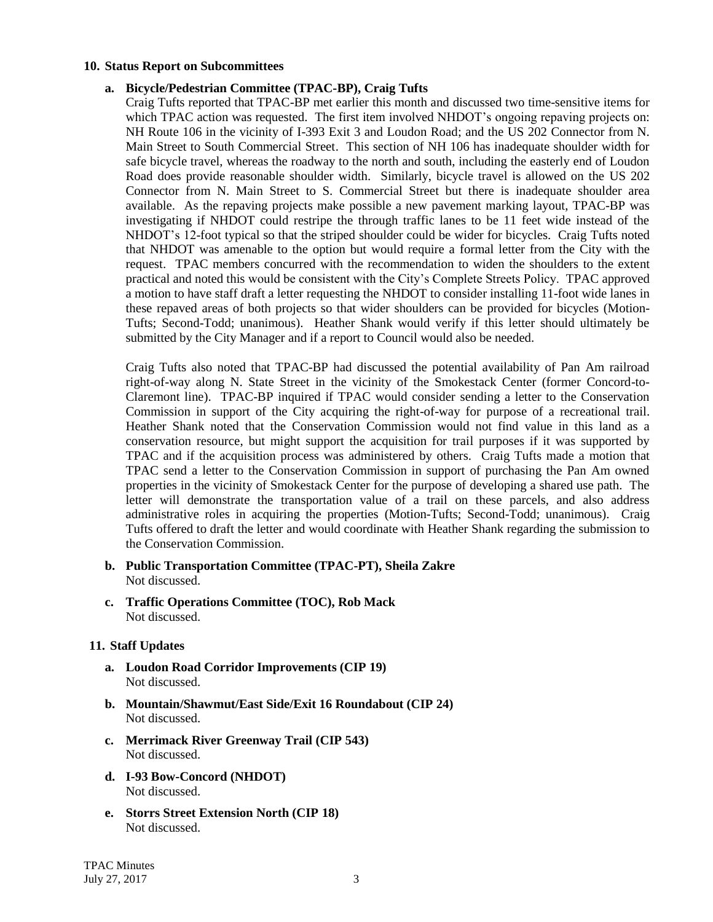#### **10. Status Report on Subcommittees**

#### **a. Bicycle/Pedestrian Committee (TPAC-BP), Craig Tufts**

Craig Tufts reported that TPAC-BP met earlier this month and discussed two time-sensitive items for which TPAC action was requested. The first item involved NHDOT's ongoing repaving projects on: NH Route 106 in the vicinity of I-393 Exit 3 and Loudon Road; and the US 202 Connector from N. Main Street to South Commercial Street. This section of NH 106 has inadequate shoulder width for safe bicycle travel, whereas the roadway to the north and south, including the easterly end of Loudon Road does provide reasonable shoulder width. Similarly, bicycle travel is allowed on the US 202 Connector from N. Main Street to S. Commercial Street but there is inadequate shoulder area available. As the repaving projects make possible a new pavement marking layout, TPAC-BP was investigating if NHDOT could restripe the through traffic lanes to be 11 feet wide instead of the NHDOT's 12-foot typical so that the striped shoulder could be wider for bicycles. Craig Tufts noted that NHDOT was amenable to the option but would require a formal letter from the City with the request. TPAC members concurred with the recommendation to widen the shoulders to the extent practical and noted this would be consistent with the City's Complete Streets Policy. TPAC approved a motion to have staff draft a letter requesting the NHDOT to consider installing 11-foot wide lanes in these repaved areas of both projects so that wider shoulders can be provided for bicycles (Motion-Tufts; Second-Todd; unanimous). Heather Shank would verify if this letter should ultimately be submitted by the City Manager and if a report to Council would also be needed.

Craig Tufts also noted that TPAC-BP had discussed the potential availability of Pan Am railroad right-of-way along N. State Street in the vicinity of the Smokestack Center (former Concord-to-Claremont line). TPAC-BP inquired if TPAC would consider sending a letter to the Conservation Commission in support of the City acquiring the right-of-way for purpose of a recreational trail. Heather Shank noted that the Conservation Commission would not find value in this land as a conservation resource, but might support the acquisition for trail purposes if it was supported by TPAC and if the acquisition process was administered by others. Craig Tufts made a motion that TPAC send a letter to the Conservation Commission in support of purchasing the Pan Am owned properties in the vicinity of Smokestack Center for the purpose of developing a shared use path. The letter will demonstrate the transportation value of a trail on these parcels, and also address administrative roles in acquiring the properties (Motion-Tufts; Second-Todd; unanimous). Craig Tufts offered to draft the letter and would coordinate with Heather Shank regarding the submission to the Conservation Commission.

- **b. Public Transportation Committee (TPAC-PT), Sheila Zakre** Not discussed.
- **c. Traffic Operations Committee (TOC), Rob Mack** Not discussed.

#### **11. Staff Updates**

- **a. Loudon Road Corridor Improvements (CIP 19)** Not discussed.
- **b. Mountain/Shawmut/East Side/Exit 16 Roundabout (CIP 24)** Not discussed.
- **c. Merrimack River Greenway Trail (CIP 543)** Not discussed.
- **d. I-93 Bow-Concord (NHDOT)** Not discussed.
- **e. Storrs Street Extension North (CIP 18)** Not discussed.